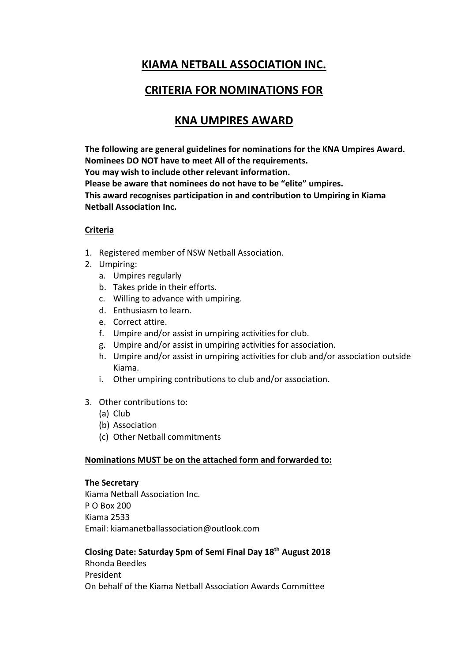# **KIAMA NETBALL ASSOCIATION INC.**

## **CRITERIA FOR NOMINATIONS FOR**

# **KNA UMPIRES AWARD**

**The following are general guidelines for nominations for the KNA Umpires Award. Nominees DO NOT have to meet All of the requirements. You may wish to include other relevant information. Please be aware that nominees do not have to be "elite" umpires. This award recognises participation in and contribution to Umpiring in Kiama Netball Association Inc.**

#### **Criteria**

- 1. Registered member of NSW Netball Association.
- 2. Umpiring:
	- a. Umpires regularly
	- b. Takes pride in their efforts.
	- c. Willing to advance with umpiring.
	- d. Enthusiasm to learn.
	- e. Correct attire.
	- f. Umpire and/or assist in umpiring activities for club.
	- g. Umpire and/or assist in umpiring activities for association.
	- h. Umpire and/or assist in umpiring activities for club and/or association outside Kiama.
	- i. Other umpiring contributions to club and/or association.
- 3. Other contributions to:
	- (a) Club
	- (b) Association
	- (c) Other Netball commitments

#### **Nominations MUST be on the attached form and forwarded to:**

#### **The Secretary**

Kiama Netball Association Inc. P O Box 200 Kiama 2533 Email: kiamanetballassociation@outlook.com

#### **Closing Date: Saturday 5pm of Semi Final Day 18th August 2018**

Rhonda Beedles President On behalf of the Kiama Netball Association Awards Committee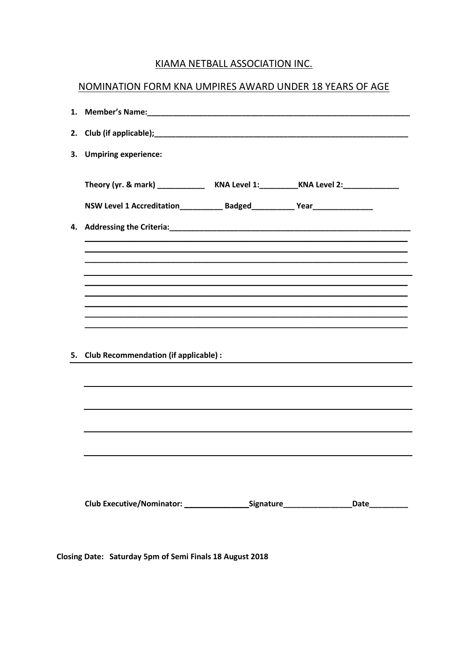### KIAMA NETBALL ASSOCIATION INC.

### NOMINATION FORM KNA UMPIRES AWARD UNDER 18 YEARS OF AGE

|    | 3. Umpiring experience:                                                                           |
|----|---------------------------------------------------------------------------------------------------|
|    |                                                                                                   |
|    | NSW Level 1 Accreditation______________ Badged_____________ Year________________                  |
|    |                                                                                                   |
|    |                                                                                                   |
|    |                                                                                                   |
| 5. | <b>Club Recommendation (if applicable) :</b>                                                      |
|    | ,我们也不会有什么。""我们的人,我们也不会有什么?""我们的人,我们也不会有什么?""我们的人,我们也不会有什么?""我们的人,我们也不会有什么?""我们的人                  |
|    |                                                                                                   |
|    |                                                                                                   |
|    |                                                                                                   |
|    |                                                                                                   |
|    | Club Executive/Nominator: __________________________Signature___________________<br>Date_________ |

Closing Date: Saturday 5pm of Semi Finals 18 August 2018